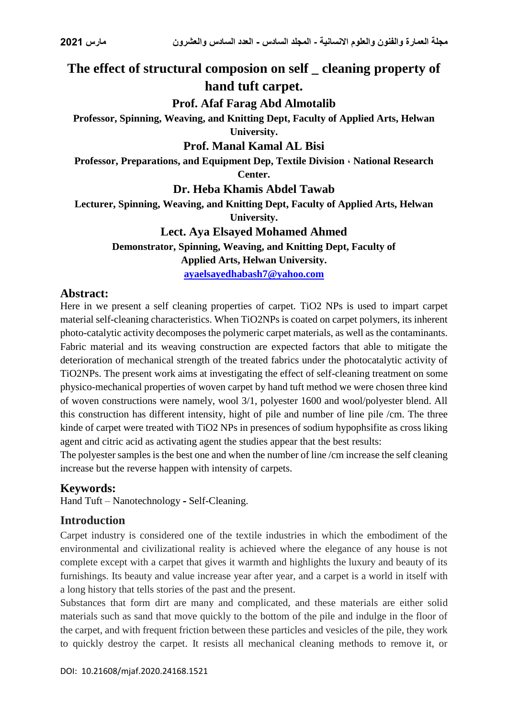# **The effect of structural composion on self \_ cleaning property of hand tuft carpet.**

# **Prof. Afaf Farag Abd Almotalib**

**Professor, Spinning, Weaving, and Knitting Dept, Faculty of Applied Arts, Helwan University.**

### **Prof. Manal Kamal AL Bisi**

**Professor, Preparations, and Equipment Dep, Textile Division ، National Research Center.**

**Dr. Heba Khamis Abdel Tawab**

**Lecturer, Spinning, Weaving, and Knitting Dept, Faculty of Applied Arts, Helwan University.**

## **Lect. Aya Elsayed Mohamed Ahmed**

**Demonstrator, Spinning, Weaving, and Knitting Dept, Faculty of Applied Arts, Helwan University.**

**[ayaelsayedhabash7@yahoo.com](mailto:ayaelsayedhabash7@yahoo.com)**

# **Abstract:**

Here in we present a self cleaning properties of carpet. TiO2 NPs is used to impart carpet material self-cleaning characteristics. When TiO2NPs is coated on carpet polymers, its inherent photo-catalytic activity decomposes the polymeric carpet materials, as well as the contaminants. Fabric material and its weaving construction are expected factors that able to mitigate the deterioration of mechanical strength of the treated fabrics under the photocatalytic activity of TiO2NPs. The present work aims at investigating the effect of self-cleaning treatment on some physico-mechanical properties of woven carpet by hand tuft method we were chosen three kind of woven constructions were namely, wool 3/1, polyester 1600 and wool/polyester blend. All this construction has different intensity, hight of pile and number of line pile /cm. The three kinde of carpet were treated with TiO2 NPs in presences of sodium hypophsifite as cross liking agent and citric acid as activating agent the studies appear that the best results:

The polyester samples is the best one and when the number of line /cm increase the self cleaning increase but the reverse happen with intensity of carpets.

# **Keywords:**

Hand Tuft – Nanotechnology **-** Self-Cleaning.

# **Introduction**

Carpet industry is considered one of the textile industries in which the embodiment of the environmental and civilizational reality is achieved where the elegance of any house is not complete except with a carpet that gives it warmth and highlights the luxury and beauty of its furnishings. Its beauty and value increase year after year, and a carpet is a world in itself with a long history that tells stories of the past and the present.

Substances that form dirt are many and complicated, and these materials are either solid materials such as sand that move quickly to the bottom of the pile and indulge in the floor of the carpet, and with frequent friction between these particles and vesicles of the pile, they work to quickly destroy the carpet. It resists all mechanical cleaning methods to remove it, or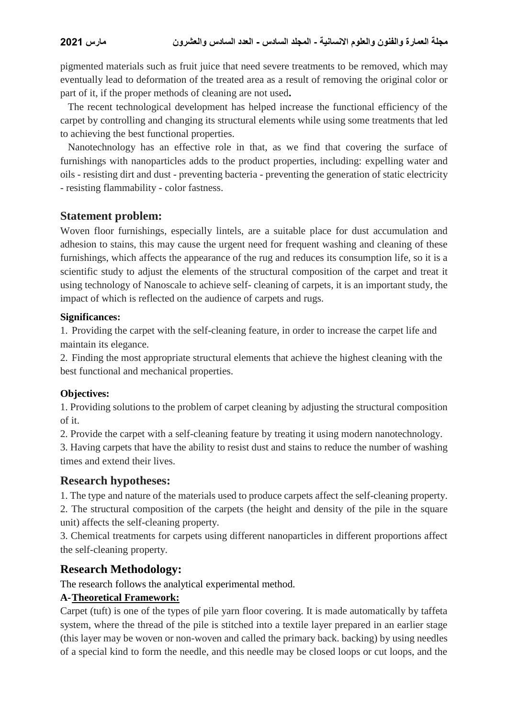pigmented materials such as fruit juice that need severe treatments to be removed, which may eventually lead to deformation of the treated area as a result of removing the original color or part of it, if the proper methods of cleaning are not used**.**

The recent technological development has helped increase the functional efficiency of the carpet by controlling and changing its structural elements while using some treatments that led to achieving the best functional properties.

 Nanotechnology has an effective role in that, as we find that covering the surface of furnishings with nanoparticles adds to the product properties, including: expelling water and oils - resisting dirt and dust - preventing bacteria - preventing the generation of static electricity - resisting flammability - color fastness.

### **Statement problem:**

Woven floor furnishings, especially lintels, are a suitable place for dust accumulation and adhesion to stains, this may cause the urgent need for frequent washing and cleaning of these furnishings, which affects the appearance of the rug and reduces its consumption life, so it is a scientific study to adjust the elements of the structural composition of the carpet and treat it using technology of Nanoscale to achieve self- cleaning of carpets, it is an important study, the impact of which is reflected on the audience of carpets and rugs.

#### **Significances:**

1. Providing the carpet with the self-cleaning feature, in order to increase the carpet life and maintain its elegance.

2. Finding the most appropriate structural elements that achieve the highest cleaning with the best functional and mechanical properties.

### **Objectives:**

1. Providing solutions to the problem of carpet cleaning by adjusting the structural composition of it.

2. Provide the carpet with a self-cleaning feature by treating it using modern nanotechnology.

3. Having carpets that have the ability to resist dust and stains to reduce the number of washing times and extend their lives.

### **Research hypotheses:**

1. The type and nature of the materials used to produce carpets affect the self-cleaning property.

2. The structural composition of the carpets (the height and density of the pile in the square unit) affects the self-cleaning property.

3. Chemical treatments for carpets using different nanoparticles in different proportions affect the self-cleaning property.

# **Research Methodology:**

The research follows the analytical experimental method.

### **A-Theoretical Framework:**

Carpet (tuft) is one of the types of pile yarn floor covering. It is made automatically by taffeta system, where the thread of the pile is stitched into a textile layer prepared in an earlier stage (this layer may be woven or non-woven and called the primary back. backing) by using needles of a special kind to form the needle, and this needle may be closed loops or cut loops, and the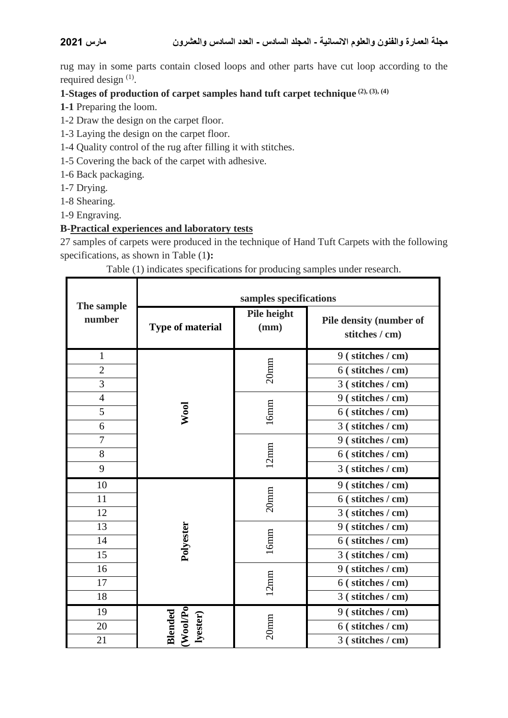rug may in some parts contain closed loops and other parts have cut loop according to the required design <sup>(1)</sup>.

# **1-Stages of production of carpet samples hand tuft carpet technique (2), (3), (4)**

- **1-1** Preparing the loom.
- 1-2 Draw the design on the carpet floor.
- 1-3 Laying the design on the carpet floor.
- 1-4 Quality control of the rug after filling it with stitches.
- 1-5 Covering the back of the carpet with adhesive.
- 1-6 Back packaging.
- 1-7 Drying.

Г

- 1-8 Shearing.
- 1-9 Engraving.

#### **B-Practical experiences and laboratory tests**

Τ

27 samples of carpets were produced in the technique of Hand Tuft Carpets with the following specifications, as shown in Table (1**):**

Table (1) indicates specifications for producing samples under research.

| The sample<br>number | samples specifications          |                     |                                           |  |
|----------------------|---------------------------------|---------------------|-------------------------------------------|--|
|                      | <b>Type of material</b>         | Pile height<br>(mm) | Pile density (number of<br>stitches / cm) |  |
| $\mathbf{1}$         | Wool                            | 20 <sub>mm</sub>    | 9 (stitches / cm)                         |  |
| $\overline{2}$       |                                 |                     | 6 (stitches / cm)                         |  |
| 3                    |                                 |                     | 3 (stitches / cm)                         |  |
| $\overline{4}$       |                                 | $16$ mm             | 9 (stitches / cm)                         |  |
| 5                    |                                 |                     | 6 (stitches / cm)                         |  |
| 6                    |                                 |                     | 3 (stitches / cm)                         |  |
| $\overline{7}$       |                                 | 12mm                | 9 (stitches / cm)                         |  |
| 8                    |                                 |                     | 6 (stitches / cm)                         |  |
| 9                    |                                 |                     | 3 (stitches / cm)                         |  |
| 10                   | Polyester                       | $20$ mm             | 9 (stitches / cm)                         |  |
| 11                   |                                 |                     | 6 (stitches / cm)                         |  |
| 12                   |                                 |                     | 3 (stitches / cm)                         |  |
| 13                   |                                 | 16mm                | 9 (stitches / cm)                         |  |
| 14                   |                                 |                     | 6 (stitches / cm)                         |  |
| 15                   |                                 |                     | 3 (stitches / cm)                         |  |
| 16                   |                                 | 12mm                | 9 (stitches / cm)                         |  |
| 17                   |                                 |                     | 6 (stitches / cm)                         |  |
| 18                   |                                 |                     | 3 (stitches / cm)                         |  |
| 19                   | Blended<br>(Wool/Po<br>lyester) | $20$ mm             | 9 (stitches / cm)                         |  |
| 20                   |                                 |                     | 6 (stitches / cm)                         |  |
| 21                   |                                 |                     | 3 (stitches / cm)                         |  |